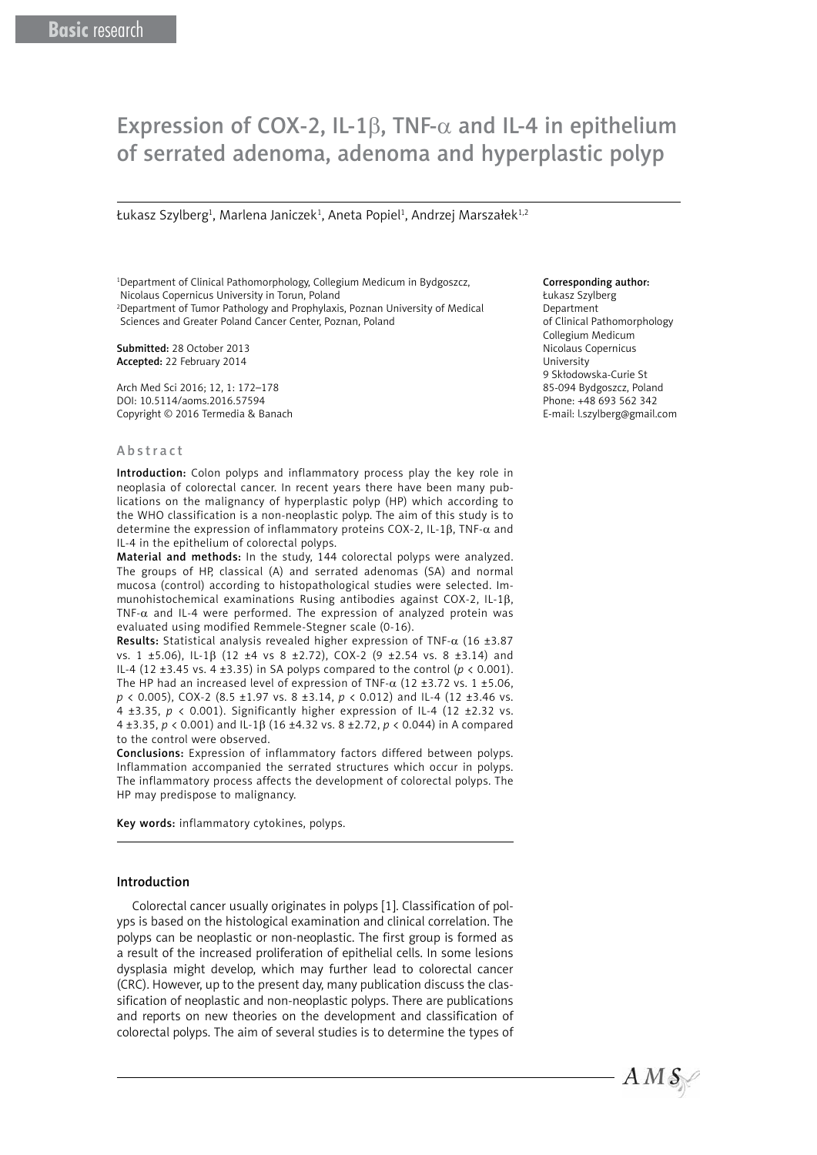# Expression of COX-2, IL-1 $\beta$ , TNF- $\alpha$  and IL-4 in epithelium of serrated adenoma, adenoma and hyperplastic polyp

Łukasz Szylberg<sup>1</sup>, Marlena Janiczek<sup>1</sup>, Aneta Popiel<sup>1</sup>, Andrzej Marszałek<sup>1,2</sup>

1 Department of Clinical Pathomorphology, Collegium Medicum in Bydgoszcz, Nicolaus Copernicus University in Torun, Poland 2 Department of Tumor Pathology and Prophylaxis, Poznan University of Medical Sciences and Greater Poland Cancer Center, Poznan, Poland

Submitted: 28 October 2013 Accepted: 22 February 2014

Arch Med Sci 2016; 12, 1: 172–178 DOI: 10.5114/aoms.2016.57594 Copyright © 2016 Termedia & Banach

#### Abstract

Introduction: Colon polyps and inflammatory process play the key role in neoplasia of colorectal cancer. In recent years there have been many publications on the malignancy of hyperplastic polyp (HP) which according to the WHO classification is a non-neoplastic polyp. The aim of this study is to determine the expression of inflammatory proteins COX-2, IL-1β, TNF-α and IL-4 in the epithelium of colorectal polyps.

Material and methods: In the study, 144 colorectal polyps were analyzed. The groups of HP, classical (A) and serrated adenomas (SA) and normal mucosa (control) according to histopathological studies were selected. Immunohistochemical examinations Rusing antibodies against COX-2, IL-1β, TNF- $\alpha$  and IL-4 were performed. The expression of analyzed protein was evaluated using modified Remmele-Stegner scale (0-16).

Results: Statistical analysis revealed higher expression of TNF- $\alpha$  (16 ±3.87 vs. 1 ±5.06), IL-1β (12 ±4 vs 8 ±2.72), COX-2 (9 ±2.54 vs. 8 ±3.14) and IL-4 (12 ±3.45 vs. 4 ±3.35) in SA polyps compared to the control ( $p < 0.001$ ). The HP had an increased level of expression of TNF- $\alpha$  (12 ±3.72 vs. 1 ±5.06, *p* < 0.005), COX-2 (8.5 ±1.97 vs. 8 ±3.14, *p* < 0.012) and IL-4 (12 ±3.46 vs. 4 ±3.35, *p* < 0.001). Significantly higher expression of IL-4 (12 ±2.32 vs. 4 ±3.35, *p* < 0.001) and IL-1β (16 ±4.32 vs. 8 ±2.72, *p* < 0.044) in A compared to the control were observed.

Conclusions: Expression of inflammatory factors differed between polyps. Inflammation accompanied the serrated structures which occur in polyps. The inflammatory process affects the development of colorectal polyps. The HP may predispose to malignancy.

Key words: inflammatory cytokines, polyps.

#### Introduction

Colorectal cancer usually originates in polyps [1]. Classification of polyps is based on the histological examination and clinical correlation. The polyps can be neoplastic or non-neoplastic. The first group is formed as a result of the increased proliferation of epithelial cells. In some lesions dysplasia might develop, which may further lead to colorectal cancer (CRC). However, up to the present day, many publication discuss the classification of neoplastic and non-neoplastic polyps. There are publications and reports on new theories on the development and classification of colorectal polyps. The aim of several studies is to determine the types of

#### Corresponding author:

Łukasz Szylberg Department of Clinical Pathomorphology Collegium Medicum Nicolaus Copernicus University 9 Skłodowska-Curie St 85-094 Bydgoszcz, Poland Phone: +48 693 562 342 E-mail: l.szylberg@gmail.com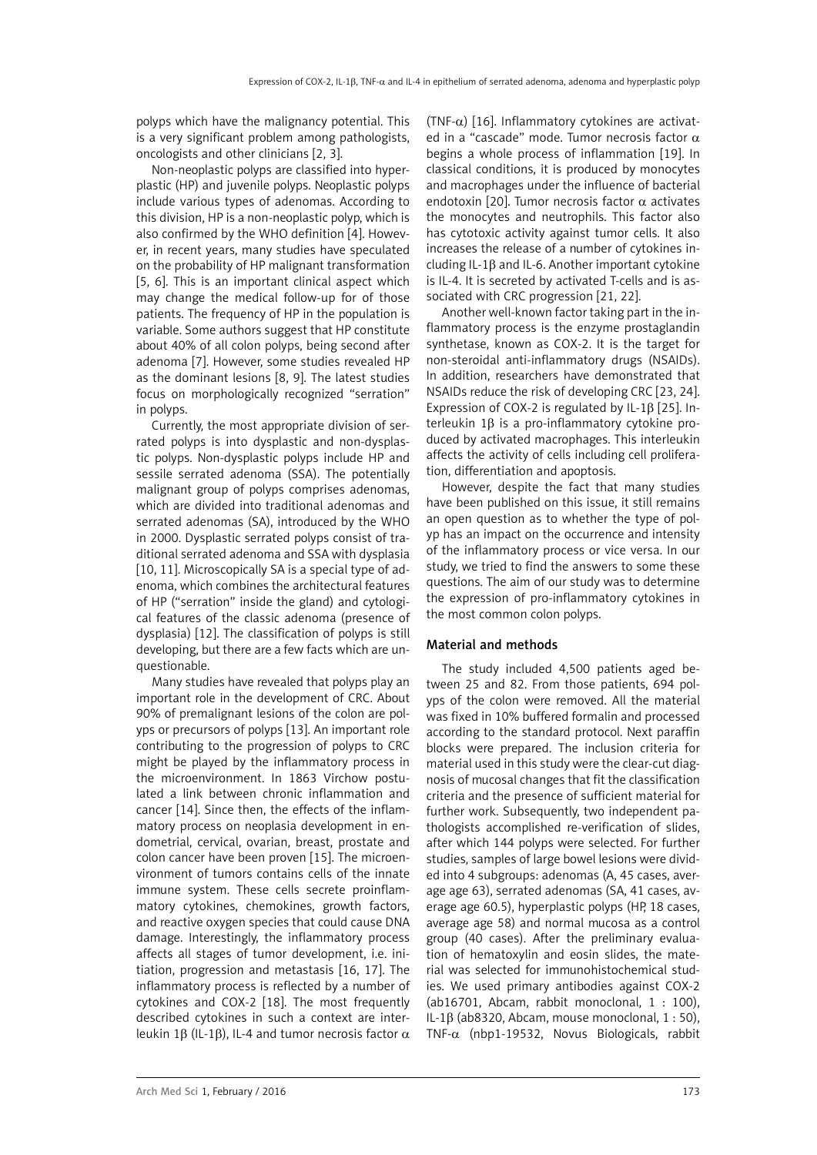polyps which have the malignancy potential. This is a very significant problem among pathologists, oncologists and other clinicians [2, 3].

Non-neoplastic polyps are classified into hyperplastic (HP) and juvenile polyps. Neoplastic polyps include various types of adenomas. According to this division, HP is a non-neoplastic polyp, which is also confirmed by the WHO definition [4]. However, in recent years, many studies have speculated on the probability of HP malignant transformation [5, 6]. This is an important clinical aspect which may change the medical follow-up for of those patients. The frequency of HP in the population is variable. Some authors suggest that HP constitute about 40% of all colon polyps, being second after adenoma [7]. However, some studies revealed HP as the dominant lesions [8, 9]. The latest studies focus on morphologically recognized "serration" in polyps.

Currently, the most appropriate division of serrated polyps is into dysplastic and non-dysplastic polyps. Non-dysplastic polyps include HP and sessile serrated adenoma (SSA). The potentially malignant group of polyps comprises adenomas, which are divided into traditional adenomas and serrated adenomas (SA), introduced by the WHO in 2000. Dysplastic serrated polyps consist of traditional serrated adenoma and SSA with dysplasia [10, 11]. Microscopically SA is a special type of adenoma, which combines the architectural features of HP ("serration" inside the gland) and cytological features of the classic adenoma (presence of dysplasia) [12]. The classification of polyps is still developing, but there are a few facts which are unquestionable.

Many studies have revealed that polyps play an important role in the development of CRC. About 90% of premalignant lesions of the colon are polyps or precursors of polyps [13]. An important role contributing to the progression of polyps to CRC might be played by the inflammatory process in the microenvironment. In 1863 Virchow postulated a link between chronic inflammation and cancer [14]. Since then, the effects of the inflammatory process on neoplasia development in endometrial, cervical, ovarian, breast, prostate and colon cancer have been proven [15]. The microenvironment of tumors contains cells of the innate immune system. These cells secrete proinflammatory cytokines, chemokines, growth factors, and reactive oxygen species that could cause DNA damage. Interestingly, the inflammatory process affects all stages of tumor development, i.e. initiation, progression and metastasis [16, 17]. The inflammatory process is reflected by a number of cytokines and COX-2 [18]. The most frequently described cytokines in such a context are interleukin 1β (IL-1β), IL-4 and tumor necrosis factor  $\alpha$  (TNF- $\alpha$ ) [16]. Inflammatory cytokines are activated in a "cascade" mode. Tumor necrosis factor  $\alpha$ begins a whole process of inflammation [19]. In classical conditions, it is produced by monocytes and macrophages under the influence of bacterial endotoxin [20]. Tumor necrosis factor  $\alpha$  activates the monocytes and neutrophils. This factor also has cytotoxic activity against tumor cells. It also increases the release of a number of cytokines including IL-1β and IL-6. Another important cytokine is IL-4. It is secreted by activated T-cells and is associated with CRC progression [21, 22].

Another well-known factor taking part in the inflammatory process is the enzyme prostaglandin synthetase, known as COX-2. It is the target for non-steroidal anti-inflammatory drugs (NSAIDs). In addition, researchers have demonstrated that NSAIDs reduce the risk of developing CRC [23, 24]. Expression of COX-2 is regulated by IL-1β [25]. Interleukin 1β is a pro-inflammatory cytokine produced by activated macrophages. This interleukin affects the activity of cells including cell proliferation, differentiation and apoptosis.

However, despite the fact that many studies have been published on this issue, it still remains an open question as to whether the type of polyp has an impact on the occurrence and intensity of the inflammatory process or vice versa. In our study, we tried to find the answers to some these questions. The aim of our study was to determine the expression of pro-inflammatory cytokines in the most common colon polyps.

# Material and methods

The study included 4,500 patients aged between 25 and 82. From those patients, 694 polyps of the colon were removed. All the material was fixed in 10% buffered formalin and processed according to the standard protocol. Next paraffin blocks were prepared. The inclusion criteria for material used in this study were the clear-cut diagnosis of mucosal changes that fit the classification criteria and the presence of sufficient material for further work. Subsequently, two independent pathologists accomplished re-verification of slides, after which 144 polyps were selected. For further studies, samples of large bowel lesions were divided into 4 subgroups: adenomas (A, 45 cases, average age 63), serrated adenomas (SA, 41 cases, average age 60.5), hyperplastic polyps (HP, 18 cases, average age 58) and normal mucosa as a control group (40 cases). After the preliminary evaluation of hematoxylin and eosin slides, the material was selected for immunohistochemical studies. We used primary antibodies against COX-2 (ab16701, Abcam, rabbit monoclonal, 1 : 100), IL-1β (ab8320, Abcam, mouse monoclonal, 1 : 50), TNF- $\alpha$  (nbp1-19532, Novus Biologicals, rabbit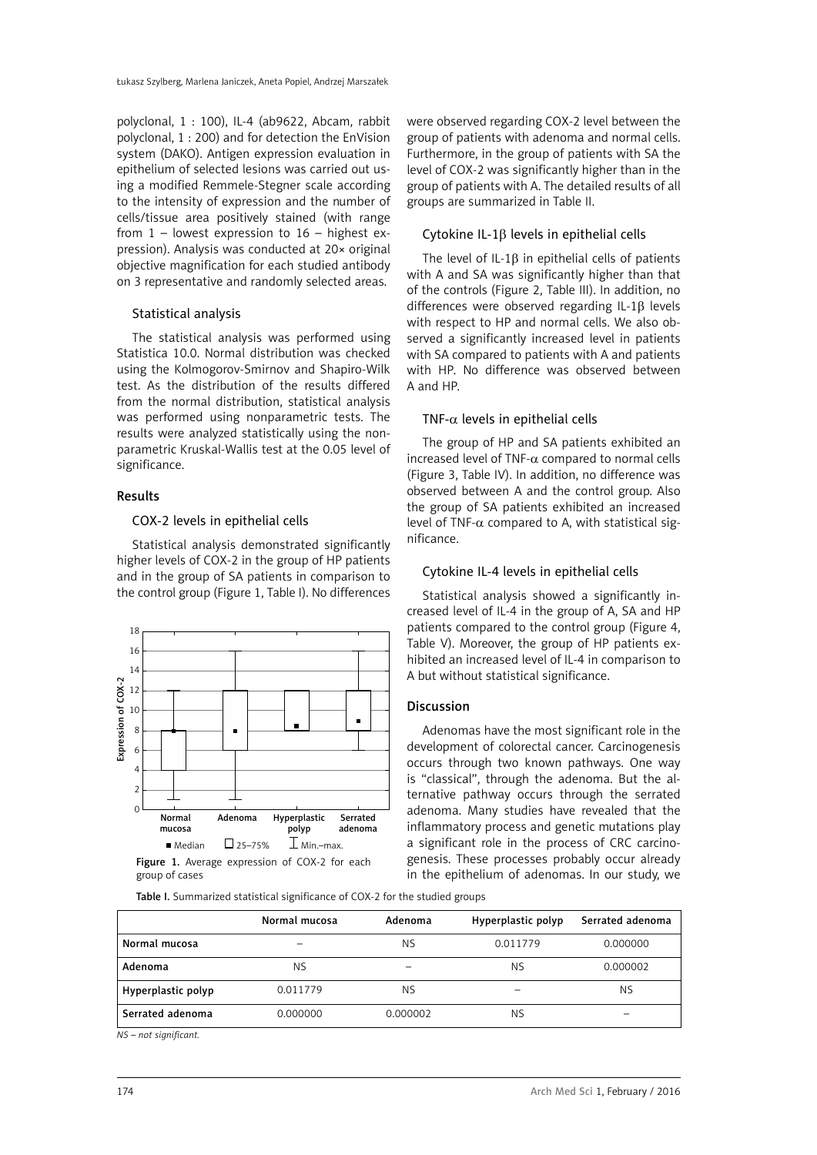polyclonal, 1 : 100), IL-4 (ab9622, Abcam, rabbit polyclonal, 1 : 200) and for detection the EnVision system (DAKO). Antigen expression evaluation in epithelium of selected lesions was carried out using a modified Remmele-Stegner scale according to the intensity of expression and the number of cells/tissue area positively stained (with range from  $1$  – lowest expression to  $16$  – highest expression). Analysis was conducted at 20× original objective magnification for each studied antibody on 3 representative and randomly selected areas.

## Statistical analysis

The statistical analysis was performed using Statistica 10.0. Normal distribution was checked using the Kolmogorov-Smirnov and Shapiro-Wilk test. As the distribution of the results differed from the normal distribution, statistical analysis was performed using nonparametric tests. The results were analyzed statistically using the nonparametric Kruskal-Wallis test at the 0.05 level of significance.

## Results

## COX-2 levels in epithelial cells

Statistical analysis demonstrated significantly higher levels of COX-2 in the group of HP patients and in the group of SA patients in comparison to the control group (Figure 1, Table I). No differences



group of cases

Table I. Summarized statistical significance of COX-2 for the studied groups

were observed regarding COX-2 level between the group of patients with adenoma and normal cells. Furthermore, in the group of patients with SA the level of COX-2 was significantly higher than in the group of patients with A. The detailed results of all groups are summarized in Table II.

## Cytokine IL-1β levels in epithelial cells

The level of IL-1B in epithelial cells of patients with A and SA was significantly higher than that of the controls (Figure 2, Table III). In addition, no differences were observed regarding IL-1β levels with respect to HP and normal cells. We also observed a significantly increased level in patients with SA compared to patients with A and patients with HP. No difference was observed between A and HP.

# TNF- $\alpha$  levels in epithelial cells

The group of HP and SA patients exhibited an increased level of TNF- $\alpha$  compared to normal cells (Figure 3, Table IV). In addition, no difference was observed between A and the control group. Also the group of SA patients exhibited an increased level of TNF- $\alpha$  compared to A, with statistical significance.

#### Cytokine IL-4 levels in epithelial cells

Statistical analysis showed a significantly increased level of IL-4 in the group of A, SA and HP patients compared to the control group (Figure 4, Table V). Moreover, the group of HP patients exhibited an increased level of IL-4 in comparison to A but without statistical significance.

# Discussion

Adenomas have the most significant role in the development of colorectal cancer. Carcinogenesis occurs through two known pathways. One way is "classical", through the adenoma. But the alternative pathway occurs through the serrated adenoma. Many studies have revealed that the inflammatory process and genetic mutations play a significant role in the process of CRC carcinogenesis. These processes probably occur already in the epithelium of adenomas. In our study, we

|                    | Normal mucosa | Adenoma   | Hyperplastic polyp | Serrated adenoma |
|--------------------|---------------|-----------|--------------------|------------------|
| Normal mucosa      |               | <b>NS</b> | 0.011779           |                  |
| Adenoma            | <b>NS</b>     |           | ΝS                 | 0.000002         |
| Hyperplastic polyp | 0.011779      | <b>NS</b> |                    | <b>NS</b>        |
| Serrated adenoma   | 0.000000      | 0.000002  | NS                 |                  |

*NS – not significant.*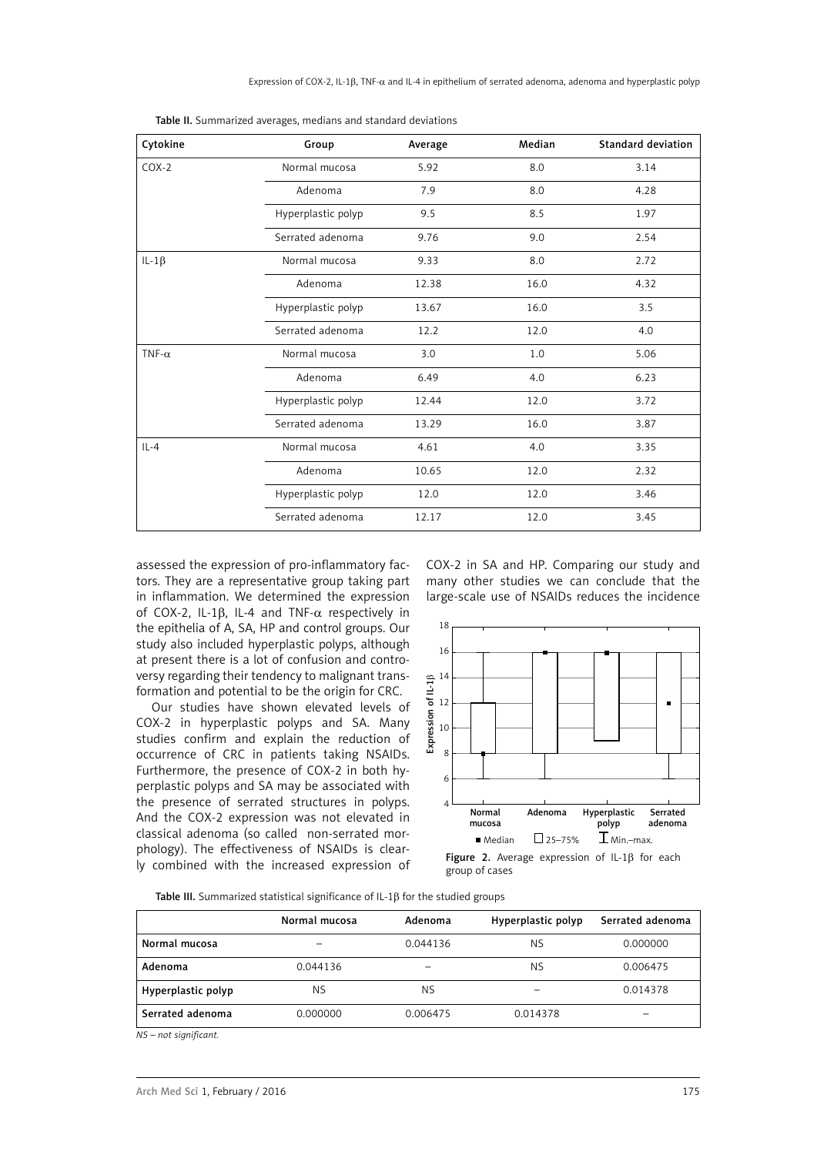| Cytokine      | Group              | Average | Median | <b>Standard deviation</b> |
|---------------|--------------------|---------|--------|---------------------------|
| $COX-2$       | Normal mucosa      | 5.92    | 8.0    | 3.14                      |
|               | Adenoma            | 7.9     | 8.0    | 4.28                      |
|               | Hyperplastic polyp | 9.5     | 8.5    | 1.97                      |
|               | Serrated adenoma   | 9.76    | 9.0    | 2.54                      |
| $IL-1\beta$   | Normal mucosa      | 9.33    | 8.0    | 2.72                      |
|               | Adenoma            | 12.38   | 16.0   | 4.32                      |
|               | Hyperplastic polyp | 13.67   | 16.0   | 3.5                       |
|               | Serrated adenoma   | 12.2    | 12.0   | 4.0                       |
| TNF- $\alpha$ | Normal mucosa      | 3.0     | 1.0    | 5.06                      |
|               | Adenoma            | 6.49    | 4.0    | 6.23                      |
|               | Hyperplastic polyp | 12.44   | 12.0   | 3.72                      |
|               | Serrated adenoma   | 13.29   | 16.0   | 3.87                      |
| $IL - 4$      | Normal mucosa      | 4.61    | 4.0    | 3.35                      |
|               | Adenoma            | 10.65   | 12.0   | 2.32                      |
|               | Hyperplastic polyp | 12.0    | 12.0   | 3.46                      |
|               | Serrated adenoma   | 12.17   | 12.0   | 3.45                      |

|  | Table II. Summarized averages, medians and standard deviations |  |  |  |  |  |
|--|----------------------------------------------------------------|--|--|--|--|--|
|--|----------------------------------------------------------------|--|--|--|--|--|

assessed the expression of pro-inflammatory factors. They are a representative group taking part in inflammation. We determined the expression of COX-2, IL-1β, IL-4 and TNF-α respectively in the epithelia of A, SA, HP and control groups. Our study also included hyperplastic polyps, although at present there is a lot of confusion and controversy regarding their tendency to malignant transformation and potential to be the origin for CRC.

Our studies have shown elevated levels of COX-2 in hyperplastic polyps and SA. Many studies confirm and explain the reduction of occurrence of CRC in patients taking NSAIDs. Furthermore, the presence of COX-2 in both hyperplastic polyps and SA may be associated with the presence of serrated structures in polyps. And the COX-2 expression was not elevated in classical adenoma (so called non-serrated morphology). The effectiveness of NSAIDs is clearly combined with the increased expression of COX-2 in SA and HP. Comparing our study and many other studies we can conclude that the large-scale use of NSAIDs reduces the incidence



Figure 2. Average expression of IL-1β for each group of cases

Table III. Summarized statistical significance of IL-1β for the studied groups

|                    | Normal mucosa | Adenoma   | Hyperplastic polyp | Serrated adenoma |
|--------------------|---------------|-----------|--------------------|------------------|
| Normal mucosa      |               | 0.044136  | <b>NS</b>          | 0.000000         |
| Adenoma            | 0.044136      |           | ΝS                 | 0.006475         |
| Hyperplastic polyp | <b>NS</b>     | <b>NS</b> |                    | 0.014378         |
| Serrated adenoma   | 0.000000      | 0.006475  | 0.014378           | -                |

*NS – not significant.*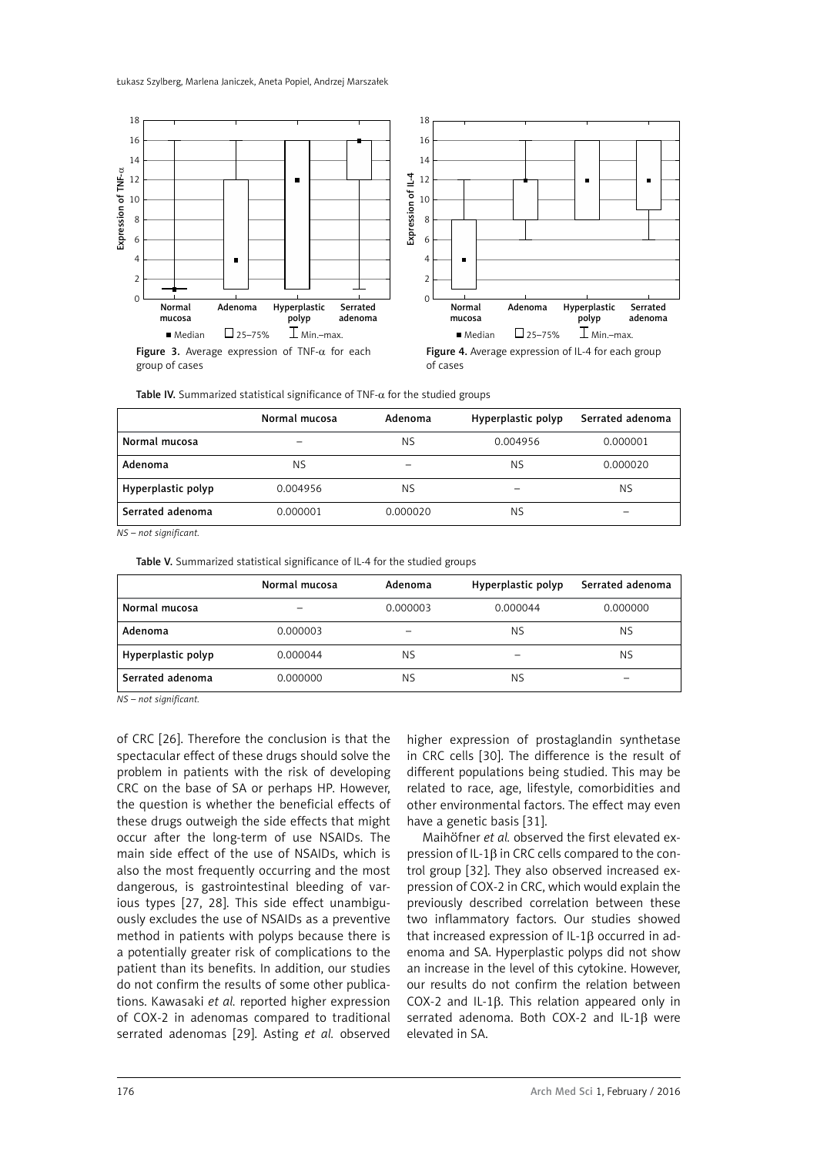Łukasz Szylberg, Marlena Janiczek, Aneta Popiel, Andrzej Marszałek



group of cases



|  | Table IV. Summarized statistical significance of $TNF-\alpha$ for the studied groups |  |  |  |  |
|--|--------------------------------------------------------------------------------------|--|--|--|--|
|  |                                                                                      |  |  |  |  |

|                    | Normal mucosa | Adenoma               | Hyperplastic polyp | Serrated adenoma |
|--------------------|---------------|-----------------------|--------------------|------------------|
| Normal mucosa      |               | <b>NS</b><br>0.004956 |                    | 0.000001         |
| Adenoma            | <b>NS</b>     |                       | ΝS                 | 0.000020         |
| Hyperplastic polyp | 0.004956      | <b>NS</b>             |                    | NS.              |
| Serrated adenoma   | 0.000001      | 0.000020              | ΝS                 | -                |

*NS – not significant.*

Table V. Summarized statistical significance of IL-4 for the studied groups

|                    | Normal mucosa | Adenoma              | Hyperplastic polyp | Serrated adenoma |
|--------------------|---------------|----------------------|--------------------|------------------|
| Normal mucosa      |               | 0.000003<br>0.000044 |                    | 0.000000         |
| Adenoma            | 0.000003      |                      | <b>NS</b>          | <b>NS</b>        |
| Hyperplastic polyp | 0.000044      | <b>NS</b>            |                    | NS.              |
| Serrated adenoma   | 0.000000      | <b>NS</b>            | NS                 | -                |

*NS – not significant.*

of CRC [26]. Therefore the conclusion is that the spectacular effect of these drugs should solve the problem in patients with the risk of developing CRC on the base of SA or perhaps HP. However, the question is whether the beneficial effects of these drugs outweigh the side effects that might occur after the long-term of use NSAIDs. The main side effect of the use of NSAIDs, which is also the most frequently occurring and the most dangerous, is gastrointestinal bleeding of various types [27, 28]. This side effect unambiguously excludes the use of NSAIDs as a preventive method in patients with polyps because there is a potentially greater risk of complications to the patient than its benefits. In addition, our studies do not confirm the results of some other publications. Kawasaki *et al.* reported higher expression of COX-2 in adenomas compared to traditional serrated adenomas [29]. Asting *et al.* observed

higher expression of prostaglandin synthetase in CRC cells [30]. The difference is the result of different populations being studied. This may be related to race, age, lifestyle, comorbidities and other environmental factors. The effect may even have a genetic basis [31].

MaihÖfner *et al.* observed the first elevated expression of IL-1β in CRC cells compared to the control group [32]. They also observed increased expression of COX-2 in CRC, which would explain the previously described correlation between these two inflammatory factors. Our studies showed that increased expression of IL-1β occurred in adenoma and SA. Hyperplastic polyps did not show an increase in the level of this cytokine. However, our results do not confirm the relation between COX-2 and IL-1β. This relation appeared only in serrated adenoma. Both COX-2 and IL-1β were elevated in SA.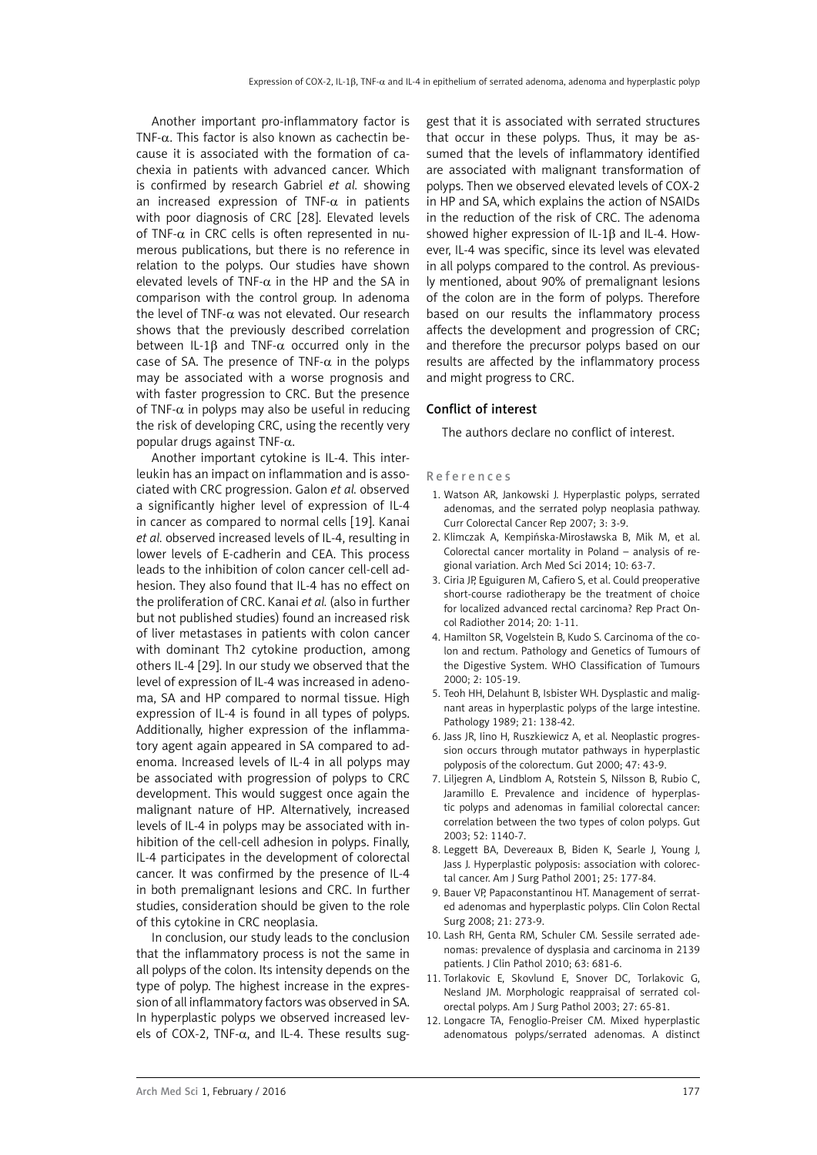Another important pro-inflammatory factor is TNF- $\alpha$ . This factor is also known as cachectin because it is associated with the formation of cachexia in patients with advanced cancer. Which is confirmed by research Gabriel *et al.* showing an increased expression of TNF- $\alpha$  in patients with poor diagnosis of CRC [28]. Elevated levels of TNF- $\alpha$  in CRC cells is often represented in numerous publications, but there is no reference in relation to the polyps. Our studies have shown elevated levels of TNF- $\alpha$  in the HP and the SA in comparison with the control group. In adenoma the level of TNF- $\alpha$  was not elevated. Our research shows that the previously described correlation between IL-1 $\beta$  and TNF- $\alpha$  occurred only in the case of SA. The presence of TNF- $\alpha$  in the polyps may be associated with a worse prognosis and with faster progression to CRC. But the presence of TNF- $\alpha$  in polyps may also be useful in reducing the risk of developing CRC, using the recently very popular drugs against TNF- $α$ .

Another important cytokine is IL-4. This interleukin has an impact on inflammation and is associated with CRC progression. Galon *et al.* observed a significantly higher level of expression of IL-4 in cancer as compared to normal cells [19]. Kanai *et al.* observed increased levels of IL-4, resulting in lower levels of E-cadherin and CEA. This process leads to the inhibition of colon cancer cell-cell adhesion. They also found that IL-4 has no effect on the proliferation of CRC. Kanai *et al.* (also in further but not published studies) found an increased risk of liver metastases in patients with colon cancer with dominant Th2 cytokine production, among others IL-4 [29]. In our study we observed that the level of expression of IL-4 was increased in adenoma, SA and HP compared to normal tissue. High expression of IL-4 is found in all types of polyps. Additionally, higher expression of the inflammatory agent again appeared in SA compared to adenoma. Increased levels of IL-4 in all polyps may be associated with progression of polyps to CRC development. This would suggest once again the malignant nature of HP. Alternatively, increased levels of IL-4 in polyps may be associated with inhibition of the cell-cell adhesion in polyps. Finally, IL-4 participates in the development of colorectal cancer. It was confirmed by the presence of IL-4 in both premalignant lesions and CRC. In further studies, consideration should be given to the role of this cytokine in CRC neoplasia.

In conclusion, our study leads to the conclusion that the inflammatory process is not the same in all polyps of the colon. Its intensity depends on the type of polyp. The highest increase in the expression of all inflammatory factors was observed in SA. In hyperplastic polyps we observed increased levels of COX-2, TNF- $\alpha$ , and IL-4. These results sug-

gest that it is associated with serrated structures that occur in these polyps. Thus, it may be assumed that the levels of inflammatory identified are associated with malignant transformation of polyps. Then we observed elevated levels of COX-2 in HP and SA, which explains the action of NSAIDs in the reduction of the risk of CRC. The adenoma showed higher expression of IL-1β and IL-4. However, IL-4 was specific, since its level was elevated in all polyps compared to the control. As previously mentioned, about 90% of premalignant lesions of the colon are in the form of polyps. Therefore based on our results the inflammatory process affects the development and progression of CRC; and therefore the precursor polyps based on our results are affected by the inflammatory process and might progress to CRC.

## Conflict of interest

The authors declare no conflict of interest.

#### References

- 1. Watson AR, Jankowski J. Hyperplastic polyps, serrated adenomas, and the serrated polyp neoplasia pathway. Curr Colorectal Cancer Rep 2007; 3: 3-9.
- 2. Klimczak A, Kempińska-Mirosławska B, Mik M, et al. Colorectal cancer mortality in Poland – analysis of regional variation. Arch Med Sci 2014; 10: 63-7.
- 3. Ciria JP, Eguiguren M, Cafiero S, et al. Could preoperative short-course radiotherapy be the treatment of choice for localized advanced rectal carcinoma? Rep Pract Oncol Radiother 2014; 20: 1-11.
- 4. Hamilton SR, Vogelstein B, Kudo S. Carcinoma of the colon and rectum. Pathology and Genetics of Tumours of the Digestive System. WHO Classification of Tumours 2000; 2: 105-19.
- 5. Teoh HH, Delahunt B, Isbister WH. Dysplastic and malignant areas in hyperplastic polyps of the large intestine. Pathology 1989; 21: 138-42.
- 6. Jass JR, Iino H, Ruszkiewicz A, et al. Neoplastic progression occurs through mutator pathways in hyperplastic polyposis of the colorectum. Gut 2000; 47: 43-9.
- 7. [Liljegren](http://gut.bmj.com/search?author1=A+Liljegren&sortspec=date&submit=Submit) A, [Lindblom](http://gut.bmj.com/search?author1=A+Lindblom&sortspec=date&submit=Submit) A, [Rotstein](http://gut.bmj.com/search?author1=S+Rotstein&sortspec=date&submit=Submit) S, Nilsson B, Rubio C, Jaramillo E. Prevalence and incidence of hyperplastic polyps and adenomas in familial colorectal cancer: correlation between the two types of colon polyps. Gut 2003; 52: 1140-7.
- 8. Leggett BA, Devereaux B, Biden K, Searle J, Young J, Jass J. Hyperplastic polyposis: association with colorectal cancer. Am J Surg Pathol 2001; 25: 177-84.
- 9. [Bauer](http://www.ncbi.nlm.nih.gov/pubmed/?term=Bauer VP%5Bauth%5D) VP, [Papaconstantinou](http://www.ncbi.nlm.nih.gov/pubmed/?term=Papaconstantinou HT%5Bauth%5D) HT. Management of serrated adenomas and hyperplastic polyps. Clin Colon Rectal Surg 2008; 21: 273-9.
- 10. Lash RH, Genta RM, Schuler CM. Sessile serrated adenomas: prevalence of dysplasia and carcinoma in 2139 patients. J Clin Pathol 2010; 63: 681-6.
- 11. Torlakovic E, Skovlund E, Snover DC, Torlakovic G, Nesland JM. Morphologic reappraisal of serrated colorectal polyps. Am J Surg Pathol 2003; 27: 65-81.
- 12. [Longacre TA](http://www.ncbi.nlm.nih.gov/pubmed?term=Longacre TA%5BAuthor%5D&cauthor=true&cauthor_uid=2186644),  [Fenoglio-Preiser CM.](http://www.ncbi.nlm.nih.gov/pubmed?term=Fenoglio-Preiser CM%5BAuthor%5D&cauthor=true&cauthor_uid=2186644) Mixed hyperplastic adenomatous polyps/serrated adenomas. A distinct